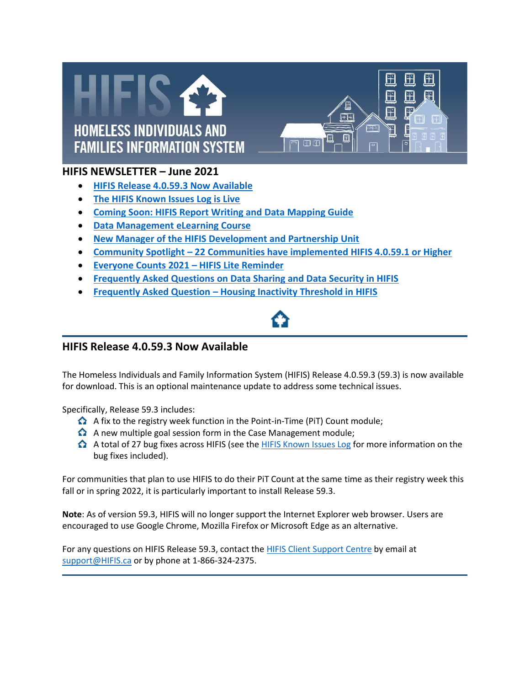



## **HIFIS NEWSLETTER – June 2021**

- **[HIFIS Release 4.0.59.3 Now Available](#page-0-0)**
- **[The HIFIS Known Issues Log is Live](#page-1-0)**
- **[Coming Soon: HIFIS Report Writing and Data Mapping Guide](#page-1-1)**
- **[Data Management eLearning Course](#page-1-2)**
- **[New Manager of the HIFIS Development and Partnership Unit](#page-2-0)**
- **Community Spotlight – [22 Communities have implemented HIFIS 4.0.59.1 or Higher](#page-2-1)**
- **[Everyone Counts 2021](#page-2-2) – HIFIS Lite Reminder**
- **[Frequently Asked Questions on Data Sharing and Data Security in HIFIS](#page-3-0)**
- **Frequently Asked Question – [Housing Inactivity Threshold in HIFIS](#page-3-1)**

## <span id="page-0-0"></span>**HIFIS Release 4.0.59.3 Now Available**

The Homeless Individuals and Family Information System (HIFIS) Release 4.0.59.3 (59.3) is now available for download. This is an optional maintenance update to address some technical issues.

Specifically, Release 59.3 includes:

- A fix to the registry week function in the Point-in-Time (PiT) Count module;
- $\Omega$  A new multiple goal session form in the Case Management module;
- A total of 27 bug fixes across HIFIS (see the [HIFIS Known Issues Log](https://support.hifis.ca/KnownIssuesLog-JournalDesProblemesConnus.html) for more information on the bug fixes included).

For communities that plan to use HIFIS to do their PiT Count at the same time as their registry week this fall or in spring 2022, it is particularly important to install Release 59.3.

**Note**: As of version 59.3, HIFIS will no longer support the Internet Explorer web browser. Users are encouraged to use Google Chrome, Mozilla Firefox or Microsoft Edge as an alternative.

For any questions on HIFIS Release 59.3, contact the [HIFIS Client Support Centre](mailto:support@hifis.ca) by email at [support@HIFIS.ca](mailto:support@HIFIS.ca) or by phone at 1-866-324-2375.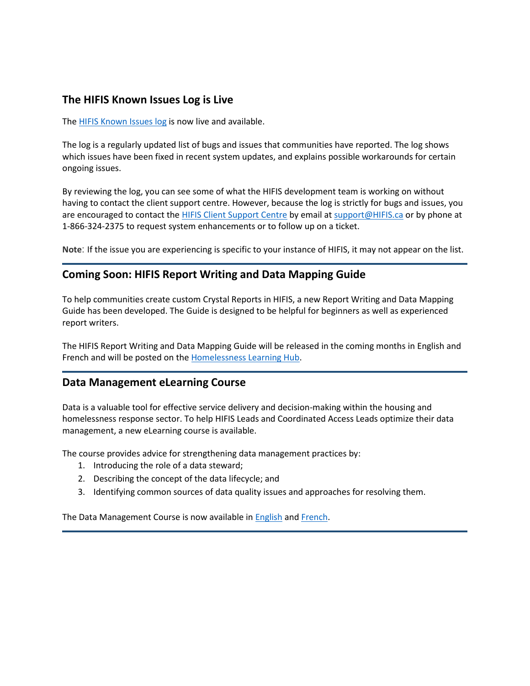## <span id="page-1-0"></span>**The HIFIS Known Issues Log is Live**

The **HIFIS Known Issues log is now live and available.** 

The log is a regularly updated list of bugs and issues that communities have reported. The log shows which issues have been fixed in recent system updates, and explains possible workarounds for certain ongoing issues.

By reviewing the log, you can see some of what the HIFIS development team is working on without having to contact the client support centre. However, because the log is strictly for bugs and issues, you are encouraged to contact the [HIFIS Client Support Centre](mailto:support@hifis.ca) by email at [support@HIFIS.ca](mailto:support@HIFIS.ca) or by phone at 1-866-324-2375 to request system enhancements or to follow up on a ticket.

**Note**: If the issue you are experiencing is specific to your instance of HIFIS, it may not appear on the list.

#### <span id="page-1-1"></span>**Coming Soon: HIFIS Report Writing and Data Mapping Guide**

To help communities create custom Crystal Reports in HIFIS, a new Report Writing and Data Mapping Guide has been developed. The Guide is designed to be helpful for beginners as well as experienced report writers.

The HIFIS Report Writing and Data Mapping Guide will be released in the coming months in English and French and will be posted on the [Homelessness Learning Hub.](https://www.homelessnesslearninghub.ca/learning-materials/how-use-hifis-and-its-functionalities)

#### <span id="page-1-2"></span>**Data Management eLearning Course**

Data is a valuable tool for effective service delivery and decision-making within the housing and homelessness response sector. To help HIFIS Leads and Coordinated Access Leads optimize their data management, a new eLearning course is available.

The course provides advice for strengthening data management practices by:

- 1. Introducing the role of a data steward;
- 2. Describing the concept of the data lifecycle; and
- 3. Identifying common sources of data quality issues and approaches for resolving them.

The Data Management Course is now available in **English and French**.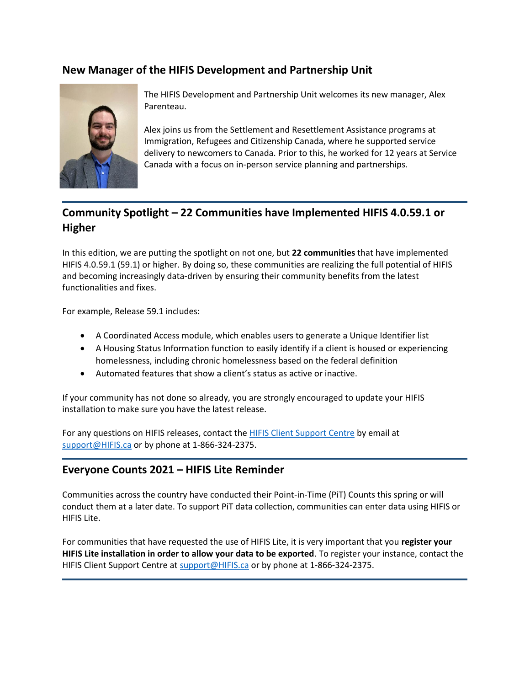# <span id="page-2-0"></span>**New Manager of the HIFIS Development and Partnership Unit**



The HIFIS Development and Partnership Unit welcomes its new manager, Alex Parenteau.

Alex joins us from the Settlement and Resettlement Assistance programs at Immigration, Refugees and Citizenship Canada, where he supported service delivery to newcomers to Canada. Prior to this, he worked for 12 years at Service Canada with a focus on in-person service planning and partnerships.

# <span id="page-2-1"></span>**Community Spotlight – 22 Communities have Implemented HIFIS 4.0.59.1 or Higher**

In this edition, we are putting the spotlight on not one, but **22 communities** that have implemented HIFIS 4.0.59.1 (59.1) or higher. By doing so, these communities are realizing the full potential of HIFIS and becoming increasingly data-driven by ensuring their community benefits from the latest functionalities and fixes.

For example, Release 59.1 includes:

- A Coordinated Access module, which enables users to generate a Unique Identifier list
- A Housing Status Information function to easily identify if a client is housed or experiencing homelessness, including chronic homelessness based on the federal definition
- Automated features that show a client's status as active or inactive.

If your community has not done so already, you are strongly encouraged to update your HIFIS installation to make sure you have the latest release.

For any questions on HIFIS releases, contact the [HIFIS Client Support Centre](mailto:support@hifis.ca) by email at [support@HIFIS.ca](mailto:support@HIFIS.ca) or by phone at 1-866-324-2375.

## <span id="page-2-2"></span>**Everyone Counts 2021 – HIFIS Lite Reminder**

Communities across the country have conducted their Point-in-Time (PiT) Counts this spring or will conduct them at a later date. To support PiT data collection, communities can enter data using HIFIS or HIFIS Lite.

For communities that have requested the use of HIFIS Lite, it is very important that you **register your HIFIS Lite installation in order to allow your data to be exported**. To register your instance, contact the HIFIS Client Support Centre a[t support@HIFIS.ca](mailto:support@HIFIS.ca) or by phone at 1-866-324-2375.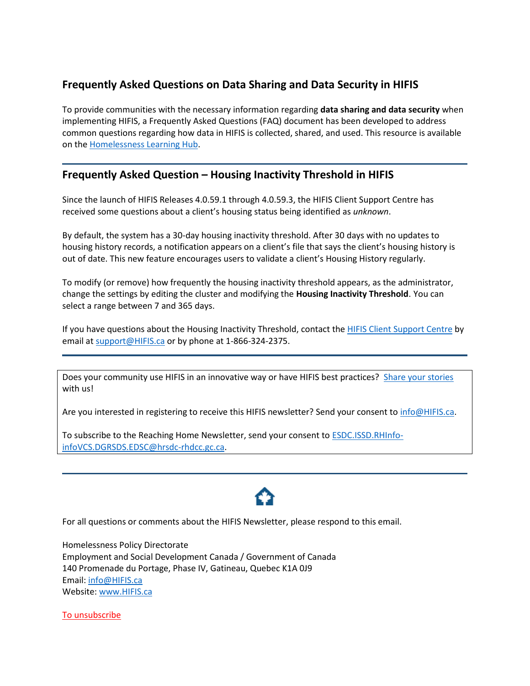# <span id="page-3-0"></span>**Frequently Asked Questions on Data Sharing and Data Security in HIFIS**

To provide communities with the necessary information regarding **data sharing and data security** when implementing HIFIS, a Frequently Asked Questions (FAQ) document has been developed to address common questions regarding how data in HIFIS is collected, shared, and used. This resource is available on th[e Homelessness Learning Hub.](https://www.homelessnesslearninghub.ca/library/resources/frequently-asked-questions-data-sharing-and-data-security-hifis-march-2021)

# <span id="page-3-1"></span>**Frequently Asked Question – Housing Inactivity Threshold in HIFIS**

Since the launch of HIFIS Releases 4.0.59.1 through 4.0.59.3, the HIFIS Client Support Centre has received some questions about a client's housing status being identified as *unknown*.

By default, the system has a 30-day housing inactivity threshold. After 30 days with no updates to housing history records, a notification appears on a client's file that says the client's housing history is out of date. This new feature encourages users to validate a client's Housing History regularly.

To modify (or remove) how frequently the housing inactivity threshold appears, as the administrator, change the settings by editing the cluster and modifying the **Housing Inactivity Threshold**. You can select a range between 7 and 365 days.

If you have questions about the Housing Inactivity Threshold, contact the [HIFIS Client Support Centre](mailto:support@hifis.ca) by email at **support@HIFIS.ca** or by phone at 1-866-324-2375.

Does your community use HIFIS in an innovative way or have HIFIS best practices? [Share your stories](mailto:info@hifis.ca) with us!

Are you interested in registering to receive this HIFIS newsletter? Send your consent to [info@HIFIS.ca.](mailto:info@HIFIS.ca)

To subscribe to the Reaching Home Newsletter, send your consent to [ESDC.ISSD.RHInfo](mailto:ESDC.ISSD.RHInfo-infoVCS.DGRSDS.EDSC@hrsdc-rhdcc.gc.ca)[infoVCS.DGRSDS.EDSC@hrsdc-rhdcc.gc.ca.](mailto:ESDC.ISSD.RHInfo-infoVCS.DGRSDS.EDSC@hrsdc-rhdcc.gc.ca)



For all questions or comments about the HIFIS Newsletter, please respond to this email.

Homelessness Policy Directorate Employment and Social Development Canada / Government of Canada 140 Promenade du Portage, Phase IV, Gatineau, Quebec K1A 0J9 Email: [info@HIFIS.ca](mailto:info@HIFIS.ca) Website[: www.HIFIS.ca](http://www.hifis.ca/)

[To unsubscribe](mailto:NC-HPSINFO-INFOSPLI-GD@hrsdc-rhdcc.gc.ca)